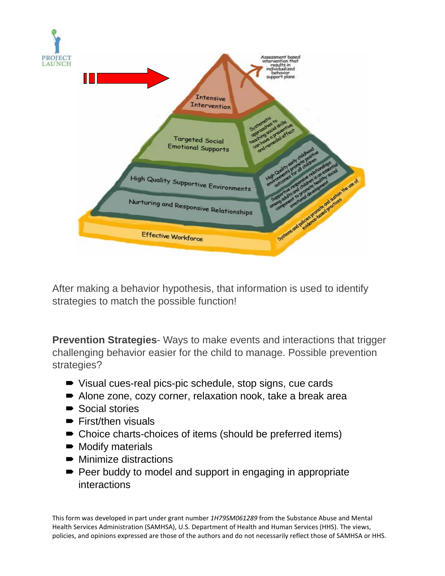

After making a behavior hypothesis, that information is used to identify strategies to match the possible function!

**Prevention Strategies**- Ways to make events and interactions that trigger challenging behavior easier for the child to manage. Possible prevention strategies?

- Visual cues-real pics-pic schedule, stop signs, cue cards
- Alone zone, cozy corner, relaxation nook, take a break area
- Social stories
- $\blacktriangleright$  First/then visuals
- Choice charts-choices of items (should be preferred items)
- $\blacksquare$  Modify materials
- $\blacksquare$  Minimize distractions
- Peer buddy to model and support in engaging in appropriate interactions

This form was developed in part under grant number *1H79SM061289* from the Substance Abuse and Mental Health Services Administration (SAMHSA), U.S. Department of Health and Human Services (HHS). The views, policies, and opinions expressed are those of the authors and do not necessarily reflect those of SAMHSA or HHS.